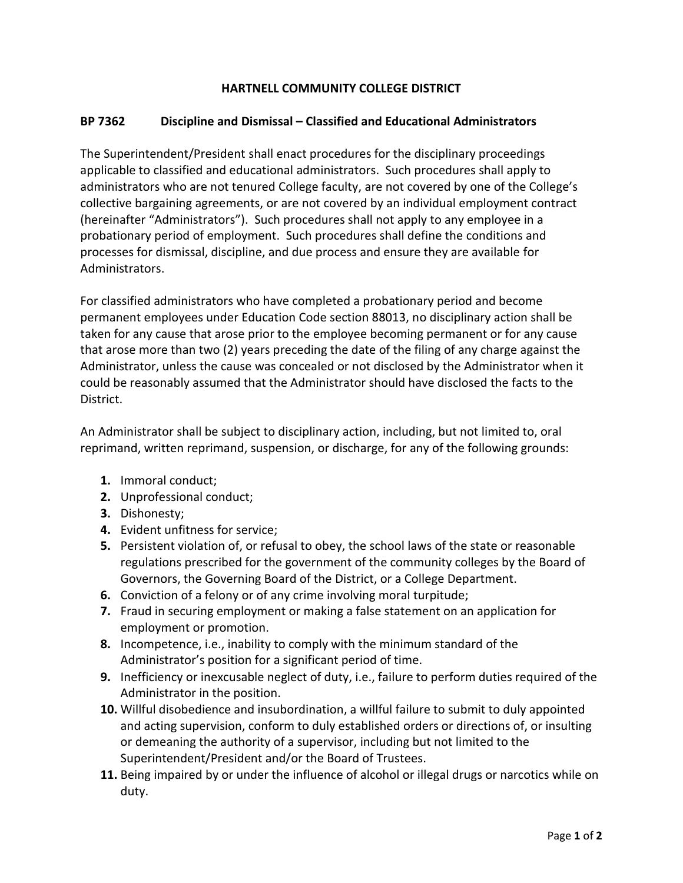## **HARTNELL COMMUNITY COLLEGE DISTRICT**

## **BP 7362 Discipline and Dismissal – Classified and Educational Administrators**

The Superintendent/President shall enact procedures for the disciplinary proceedings applicable to classified and educational administrators. Such procedures shall apply to administrators who are not tenured College faculty, are not covered by one of the College's collective bargaining agreements, or are not covered by an individual employment contract (hereinafter "Administrators"). Such procedures shall not apply to any employee in a probationary period of employment. Such procedures shall define the conditions and processes for dismissal, discipline, and due process and ensure they are available for Administrators.

For classified administrators who have completed a probationary period and become permanent employees under Education Code section 88013, no disciplinary action shall be taken for any cause that arose prior to the employee becoming permanent or for any cause that arose more than two (2) years preceding the date of the filing of any charge against the Administrator, unless the cause was concealed or not disclosed by the Administrator when it could be reasonably assumed that the Administrator should have disclosed the facts to the District.

An Administrator shall be subject to disciplinary action, including, but not limited to, oral reprimand, written reprimand, suspension, or discharge, for any of the following grounds:

- **1.** Immoral conduct;
- **2.** Unprofessional conduct;
- **3.** Dishonesty;
- **4.** Evident unfitness for service;
- **5.** Persistent violation of, or refusal to obey, the school laws of the state or reasonable regulations prescribed for the government of the community colleges by the Board of Governors, the Governing Board of the District, or a College Department.
- **6.** Conviction of a felony or of any crime involving moral turpitude;
- **7.** Fraud in securing employment or making a false statement on an application for employment or promotion.
- **8.** Incompetence, i.e., inability to comply with the minimum standard of the Administrator's position for a significant period of time.
- **9.** Inefficiency or inexcusable neglect of duty, i.e., failure to perform duties required of the Administrator in the position.
- **10.** Willful disobedience and insubordination, a willful failure to submit to duly appointed and acting supervision, conform to duly established orders or directions of, or insulting or demeaning the authority of a supervisor, including but not limited to the Superintendent/President and/or the Board of Trustees.
- **11.** Being impaired by or under the influence of alcohol or illegal drugs or narcotics while on duty.